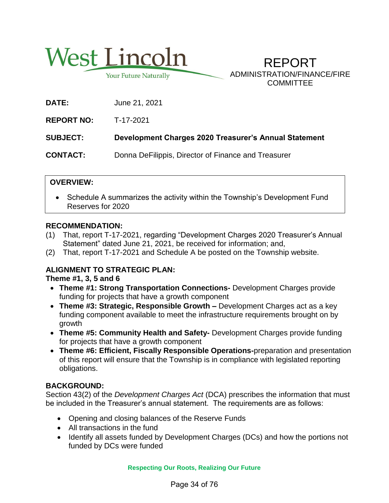

**Your Future Naturally** 

REPORT ADMINISTRATION/FINANCE/FIRE **COMMITTEE** 

**DATE:** June 21, 2021

**REPORT NO:** T-17-2021

**SUBJECT: Development Charges 2020 Treasurer's Annual Statement**

**CONTACT:** Donna DeFilippis, Director of Finance and Treasurer

# **OVERVIEW:**

 Schedule A summarizes the activity within the Township's Development Fund Reserves for 2020

## **RECOMMENDATION:**

- (1) That, report T-17-2021, regarding "Development Charges 2020 Treasurer's Annual Statement" dated June 21, 2021, be received for information; and,
- (2) That, report T-17-2021 and Schedule A be posted on the Township website.

# **ALIGNMENT TO STRATEGIC PLAN:**

**Theme #1, 3, 5 and 6**

- **Theme #1: Strong Transportation Connections-** Development Charges provide funding for projects that have a growth component
- **Theme #3: Strategic, Responsible Growth –** Development Charges act as a key funding component available to meet the infrastructure requirements brought on by growth
- **Theme #5: Community Health and Safety-** Development Charges provide funding for projects that have a growth component
- **Theme #6: Efficient, Fiscally Responsible Operations-**preparation and presentation of this report will ensure that the Township is in compliance with legislated reporting obligations.

# **BACKGROUND:**

Section 43(2) of the *Development Charges Act* (DCA) prescribes the information that must be included in the Treasurer's annual statement. The requirements are as follows:

- Opening and closing balances of the Reserve Funds
- All transactions in the fund
- Identify all assets funded by Development Charges (DCs) and how the portions not funded by DCs were funded

**Respecting Our Roots, Realizing Our Future**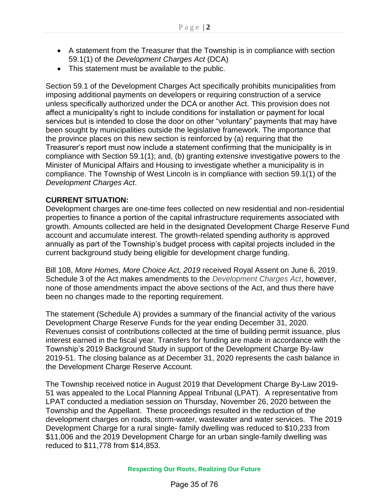- A statement from the Treasurer that the Township is in compliance with section 59.1(1) of the *Development Charges Act* (DCA)
- This statement must be available to the public.

Section 59.1 of the Development Charges Act specifically prohibits municipalities from imposing additional payments on developers or requiring construction of a service unless specifically authorized under the DCA or another Act. This provision does not affect a municipality's right to include conditions for installation or payment for local services but is intended to close the door on other "voluntary" payments that may have been sought by municipalities outside the legislative framework. The importance that the province places on this new section is reinforced by (a) requiring that the Treasurer's report must now include a statement confirming that the municipality is in compliance with Section 59.1(1); and, (b) granting extensive investigative powers to the Minister of Municipal Affairs and Housing to investigate whether a municipality is in compliance. The Township of West Lincoln is in compliance with section 59.1(1) of the *Development Charges Act*.

#### **CURRENT SITUATION:**

Development charges are one-time fees collected on new residential and non-residential properties to finance a portion of the capital infrastructure requirements associated with growth. Amounts collected are held in the designated Development Charge Reserve Fund account and accumulate interest. The growth-related spending authority is approved annually as part of the Township's budget process with capital projects included in the current background study being eligible for development charge funding.

Bill 108, *More Homes, More Choice Act, 2019* received Royal Assent on June 6, 2019. Schedule 3 of the Act makes amendments to the *Development Charges Act*, however, none of those amendments impact the above sections of the Act, and thus there have been no changes made to the reporting requirement.

The statement (Schedule A) provides a summary of the financial activity of the various Development Charge Reserve Funds for the year ending December 31, 2020. Revenues consist of contributions collected at the time of building permit issuance, plus interest earned in the fiscal year. Transfers for funding are made in accordance with the Township's 2019 Background Study in support of the Development Charge By-law 2019-51. The closing balance as at December 31, 2020 represents the cash balance in the Development Charge Reserve Account.

The Township received notice in August 2019 that Development Charge By-Law 2019- 51 was appealed to the Local Planning Appeal Tribunal (LPAT). A representative from LPAT conducted a mediation session on Thursday, November 26, 2020 between the Township and the Appellant. These proceedings resulted in the reduction of the development charges on roads, storm-water, wastewater and water services. The 2019 Development Charge for a rural single- family dwelling was reduced to \$10,233 from \$11,006 and the 2019 Development Charge for an urban single-family dwelling was reduced to \$11,778 from \$14,853.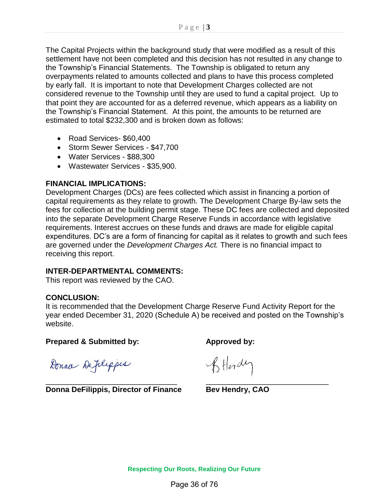The Capital Projects within the background study that were modified as a result of this settlement have not been completed and this decision has not resulted in any change to the Township's Financial Statements. The Township is obligated to return any overpayments related to amounts collected and plans to have this process completed by early fall. It is important to note that Development Charges collected are not considered revenue to the Township until they are used to fund a capital project. Up to that point they are accounted for as a deferred revenue, which appears as a liability on the Township's Financial Statement. At this point, the amounts to be returned are estimated to total \$232,300 and is broken down as follows:

- Road Services- \$60,400
- Storm Sewer Services \$47,700
- Water Services \$88,300
- Wastewater Services \$35,900.

#### **FINANCIAL IMPLICATIONS:**

Development Charges (DCs) are fees collected which assist in financing a portion of capital requirements as they relate to growth. The Development Charge By-law sets the fees for collection at the building permit stage. These DC fees are collected and deposited into the separate Development Charge Reserve Funds in accordance with legislative requirements. Interest accrues on these funds and draws are made for eligible capital expenditures. DC's are a form of financing for capital as it relates to growth and such fees are governed under the *Development Charges Act.* There is no financial impact to receiving this report.

## **INTER-DEPARTMENTAL COMMENTS:**

This report was reviewed by the CAO.

#### **CONCLUSION:**

It is recommended that the Development Charge Reserve Fund Activity Report for the year ended December 31, 2020 (Schedule A) be received and posted on the Township's website.

**Prepared & Submitted by: Approved by:** 

Donna Deplippes

\_\_\_\_\_\_\_\_\_\_\_\_\_\_\_\_\_\_\_\_\_\_\_\_\_\_\_\_\_\_\_ \_\_\_\_\_\_\_\_\_\_\_\_\_\_\_\_\_\_\_\_\_\_\_\_\_\_\_\_\_ **Donna DeFilippis, Director of Finance Bev Hendry, CAO**

BHordy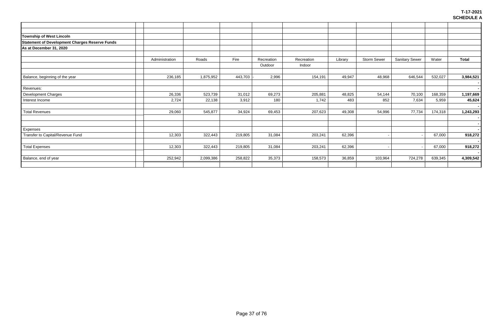| Township of West Lincoln                              |                |           |         |            |            |         |                    |                       |         |              |
|-------------------------------------------------------|----------------|-----------|---------|------------|------------|---------|--------------------|-----------------------|---------|--------------|
| <b>Statement of Development Charges Reserve Funds</b> |                |           |         |            |            |         |                    |                       |         |              |
| As at December 31, 2020                               |                |           |         |            |            |         |                    |                       |         |              |
|                                                       |                |           |         |            |            |         |                    |                       |         |              |
|                                                       | Administration | Roads     | Fire    | Recreation | Recreation | Library | <b>Storm Sewer</b> | <b>Sanitary Sewer</b> | Water   | <b>Total</b> |
|                                                       |                |           |         | Outdoor    | Indoor     |         |                    |                       |         |              |
| Balance, beginning of the year                        | 236,185        | 1,875,952 | 443,703 | 2,996      | 154,191    | 49,947  | 48,968             | 646,544               | 532,027 | 3,984,521    |
|                                                       |                |           |         |            |            |         |                    |                       |         |              |
| Revenues:                                             |                |           |         |            |            |         |                    |                       |         |              |
| Development Charges                                   | 26,336         | 523,739   | 31,012  | 69,273     | 205,881    | 48,825  | 54,144             | 70,100                | 168,359 | 1,197,669    |
| Interest Income                                       | 2,724          | 22,138    | 3,912   | 180        | 1,742      | 483     | 852                | 7,634                 | 5,959   | 45,624       |
| <b>Total Revenues</b>                                 | 29,060         | 545,877   | 34,924  | 69,453     | 207,623    | 49,308  | 54,996             | 77,734                | 174,318 | 1,243,293    |
| Expenses                                              |                |           |         |            |            |         |                    |                       |         |              |
| Transfer to Capital/Revenue Fund                      | 12,303         | 322,443   | 219,805 | 31,084     | 203,241    | 62,396  |                    |                       | 67,000  | 918,272      |
| <b>Total Expenses</b>                                 | 12,303         | 322,443   | 219,805 | 31,084     | 203,241    | 62,396  |                    |                       | 67,000  | 918,272      |
| Balance, end of year                                  | 252,942        | 2,099,386 | 258,822 | 35,373     | 158,573    | 36,859  | 103,964            | 724,278               | 639,345 | 4,309,542    |
|                                                       |                |           |         |            |            |         |                    |                       |         |              |